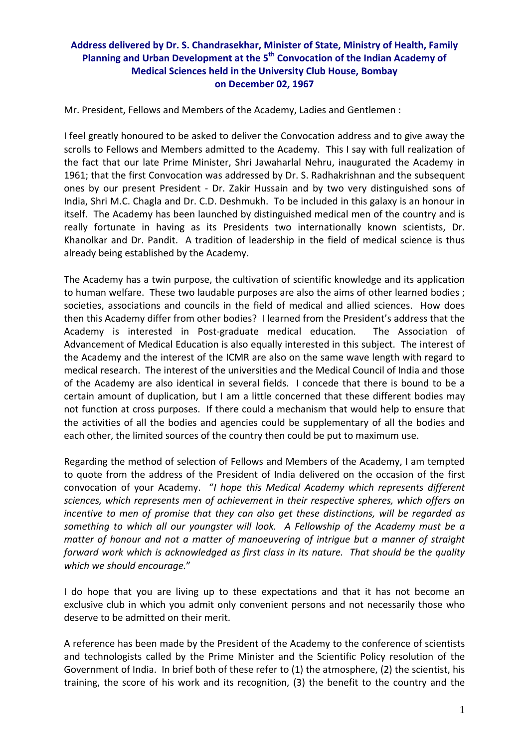## **Address delivered by Dr. S. Chandrasekhar, Minister of State, Ministry of Health, Family Planning and Urban Development at the 5th Convocation of the Indian Academy of Medical Sciences held in the University Club House, Bombay on December 02, 1967**

Mr. President, Fellows and Members of the Academy, Ladies and Gentlemen :

I feel greatly honoured to be asked to deliver the Convocation address and to give away the scrolls to Fellows and Members admitted to the Academy. This I say with full realization of the fact that our late Prime Minister, Shri Jawaharlal Nehru, inaugurated the Academy in 1961; that the first Convocation was addressed by Dr. S. Radhakrishnan and the subsequent ones by our present President - Dr. Zakir Hussain and by two very distinguished sons of India, Shri M.C. Chagla and Dr. C.D. Deshmukh. To be included in this galaxy is an honour in itself. The Academy has been launched by distinguished medical men of the country and is really fortunate in having as its Presidents two internationally known scientists, Dr. Khanolkar and Dr. Pandit. A tradition of leadership in the field of medical science is thus already being established by the Academy.

The Academy has a twin purpose, the cultivation of scientific knowledge and its application to human welfare. These two laudable purposes are also the aims of other learned bodies ; societies, associations and councils in the field of medical and allied sciences. How does then this Academy differ from other bodies? I learned from the President's address that the Academy is interested in Post‐graduate medical education. The Association of Advancement of Medical Education is also equally interested in this subject. The interest of the Academy and the interest of the ICMR are also on the same wave length with regard to medical research. The interest of the universities and the Medical Council of India and those of the Academy are also identical in several fields. I concede that there is bound to be a certain amount of duplication, but I am a little concerned that these different bodies may not function at cross purposes. If there could a mechanism that would help to ensure that the activities of all the bodies and agencies could be supplementary of all the bodies and each other, the limited sources of the country then could be put to maximum use.

Regarding the method of selection of Fellows and Members of the Academy, I am tempted to quote from the address of the President of India delivered on the occasion of the first convocation of your Academy. "*I hope this Medical Academy which represents different sciences, which represents men of achievement in their respective spheres, which offers an incentive to men of promise that they can also get these distinctions, will be regarded as something to which all our youngster will look. A Fellowship of the Academy must be a matter of honour and not a matter of manoeuvering of intrigue but a manner of straight forward work which is acknowledged as first class in its nature. That should be the quality which we should encourage.*"

I do hope that you are living up to these expectations and that it has not become an exclusive club in which you admit only convenient persons and not necessarily those who deserve to be admitted on their merit.

A reference has been made by the President of the Academy to the conference of scientists and technologists called by the Prime Minister and the Scientific Policy resolution of the Government of India. In brief both of these refer to (1) the atmosphere, (2) the scientist, his training, the score of his work and its recognition, (3) the benefit to the country and the